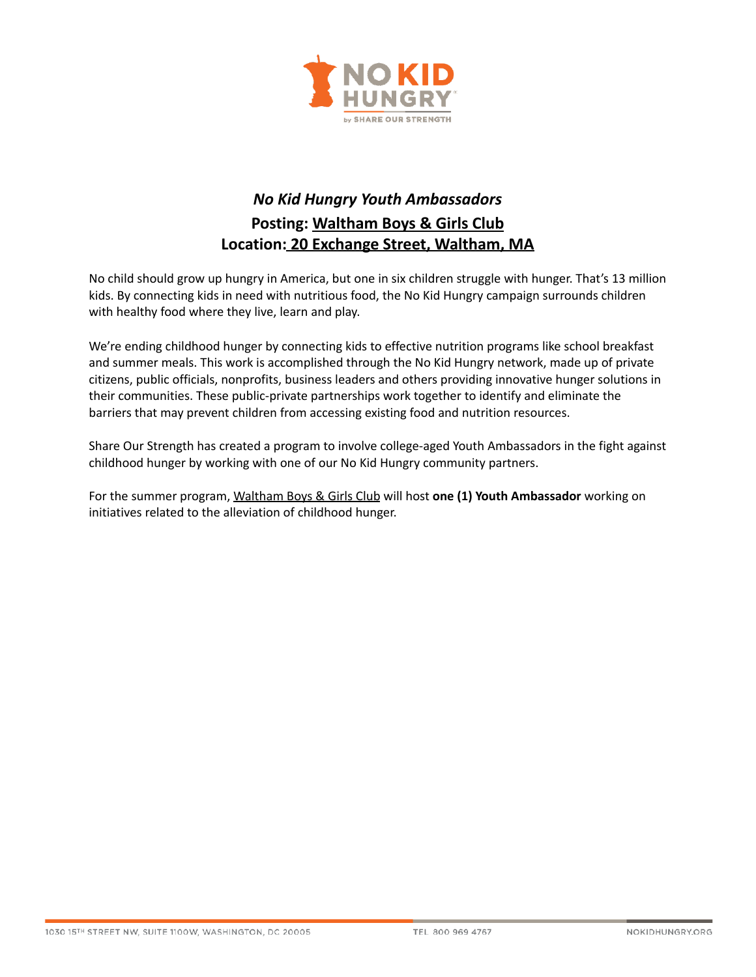

## *No Kid Hungry Youth Ambassadors* **Posting: Waltham Boys & Girls Club Location: 20 Exchange Street, Waltham, MA**

No child should grow up hungry in America, but one in six children struggle with hunger. That's 13 million kids. By connecting kids in need with nutritious food, the No Kid Hungry campaign surrounds children with healthy food where they live, learn and play.

We're ending childhood hunger by connecting kids to effective nutrition programs like school breakfast and summer meals. This work is accomplished through the No Kid Hungry network, made up of private citizens, public officials, nonprofits, business leaders and others providing innovative hunger solutions in their communities. These public-private partnerships work together to identify and eliminate the barriers that may prevent children from accessing existing food and nutrition resources.

Share Our Strength has created a program to involve college-aged Youth Ambassadors in the fight against childhood hunger by working with one of our No Kid Hungry community partners.

For the summer program, Waltham Boys & Girls Club will host **one (1) Youth Ambassador** working on initiatives related to the alleviation of childhood hunger.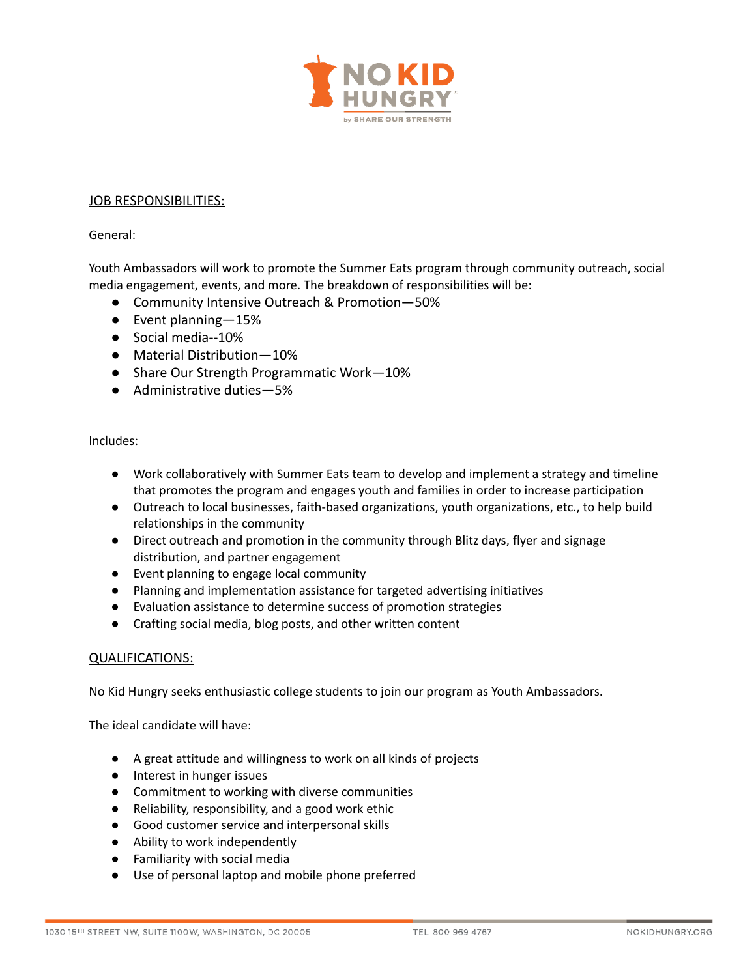

## JOB RESPONSIBILITIES:

General:

Youth Ambassadors will work to promote the Summer Eats program through community outreach, social media engagement, events, and more. The breakdown of responsibilities will be:

- Community Intensive Outreach & Promotion–50%
- Event planning—15%
- Social media--10%
- Material Distribution—10%
- Share Our Strength Programmatic Work-10%
- Administrative duties–5%

Includes:

- Work collaboratively with Summer Eats team to develop and implement a strategy and timeline that promotes the program and engages youth and families in order to increase participation
- Outreach to local businesses, faith-based organizations, youth organizations, etc., to help build relationships in the community
- Direct outreach and promotion in the community through Blitz days, flyer and signage distribution, and partner engagement
- Event planning to engage local community
- Planning and implementation assistance for targeted advertising initiatives
- Evaluation assistance to determine success of promotion strategies
- Crafting social media, blog posts, and other written content

## QUALIFICATIONS:

No Kid Hungry seeks enthusiastic college students to join our program as Youth Ambassadors.

The ideal candidate will have:

- A great attitude and willingness to work on all kinds of projects
- Interest in hunger issues
- Commitment to working with diverse communities
- Reliability, responsibility, and a good work ethic
- Good customer service and interpersonal skills
- Ability to work independently
- Familiarity with social media
- Use of personal laptop and mobile phone preferred